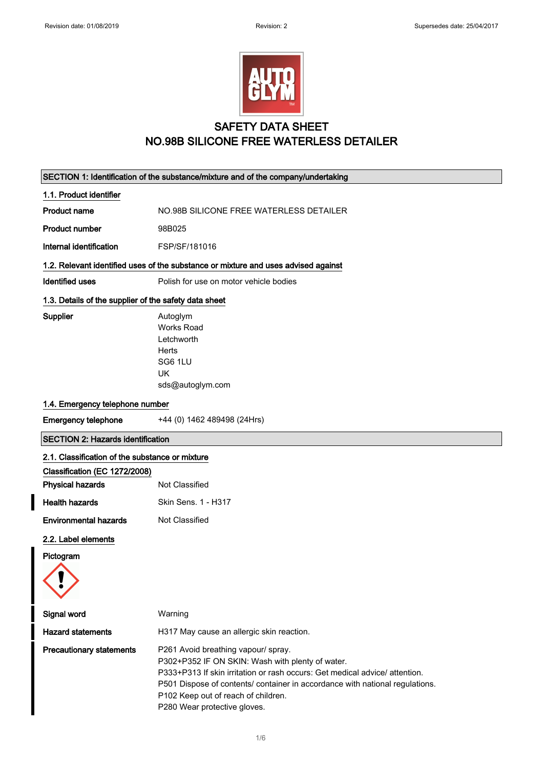I



### SAFETY DATA SHEET NO.98B SILICONE FREE WATERLESS DETAILER

| SECTION 1: Identification of the substance/mixture and of the company/undertaking |                                                                                                                                                                                                                                                                                                                              |  |
|-----------------------------------------------------------------------------------|------------------------------------------------------------------------------------------------------------------------------------------------------------------------------------------------------------------------------------------------------------------------------------------------------------------------------|--|
| 1.1. Product identifier                                                           |                                                                                                                                                                                                                                                                                                                              |  |
| <b>Product name</b>                                                               | NO.98B SILICONE FREE WATERLESS DETAILER                                                                                                                                                                                                                                                                                      |  |
| <b>Product number</b>                                                             | 98B025                                                                                                                                                                                                                                                                                                                       |  |
| Internal identification                                                           | FSP/SF/181016                                                                                                                                                                                                                                                                                                                |  |
|                                                                                   | 1.2. Relevant identified uses of the substance or mixture and uses advised against                                                                                                                                                                                                                                           |  |
| <b>Identified uses</b>                                                            | Polish for use on motor vehicle bodies                                                                                                                                                                                                                                                                                       |  |
| 1.3. Details of the supplier of the safety data sheet                             |                                                                                                                                                                                                                                                                                                                              |  |
| Supplier                                                                          | Autoglym<br><b>Works Road</b><br>Letchworth<br>Herts<br>SG6 1LU<br>UK<br>sds@autoglym.com                                                                                                                                                                                                                                    |  |
| 1.4. Emergency telephone number                                                   |                                                                                                                                                                                                                                                                                                                              |  |
| <b>Emergency telephone</b>                                                        | +44 (0) 1462 489498 (24Hrs)                                                                                                                                                                                                                                                                                                  |  |
| <b>SECTION 2: Hazards identification</b>                                          |                                                                                                                                                                                                                                                                                                                              |  |
| 2.1. Classification of the substance or mixture                                   |                                                                                                                                                                                                                                                                                                                              |  |
| Classification (EC 1272/2008)                                                     |                                                                                                                                                                                                                                                                                                                              |  |
| <b>Physical hazards</b>                                                           | Not Classified                                                                                                                                                                                                                                                                                                               |  |
| <b>Health hazards</b>                                                             | Skin Sens. 1 - H317                                                                                                                                                                                                                                                                                                          |  |
| <b>Environmental hazards</b>                                                      | Not Classified                                                                                                                                                                                                                                                                                                               |  |
| 2.2. Label elements                                                               |                                                                                                                                                                                                                                                                                                                              |  |
| Pictogram                                                                         |                                                                                                                                                                                                                                                                                                                              |  |
| Signal word                                                                       | Warning                                                                                                                                                                                                                                                                                                                      |  |
| <b>Hazard statements</b>                                                          | H317 May cause an allergic skin reaction.                                                                                                                                                                                                                                                                                    |  |
| <b>Precautionary statements</b>                                                   | P261 Avoid breathing vapour/ spray.<br>P302+P352 IF ON SKIN: Wash with plenty of water.<br>P333+P313 If skin irritation or rash occurs: Get medical advice/attention.<br>P501 Dispose of contents/ container in accordance with national regulations.<br>P102 Keep out of reach of children.<br>P280 Wear protective gloves. |  |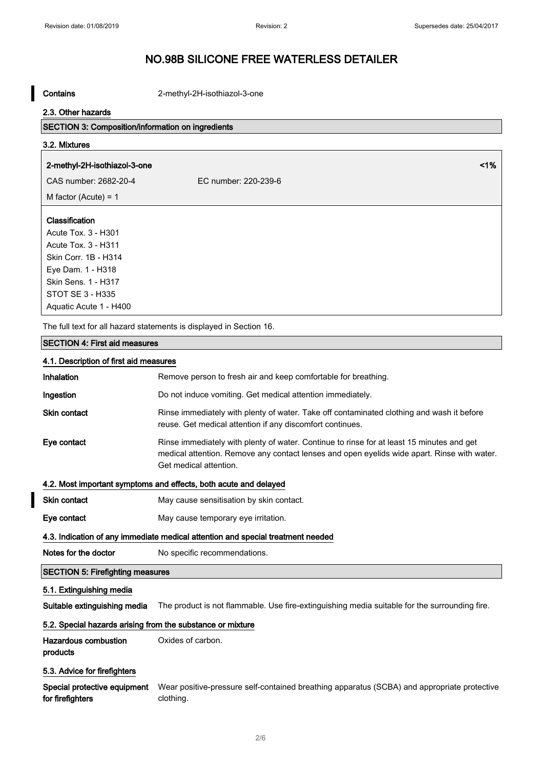Contains 2-methyl-2H-isothiazol-3-one

#### 2.3. Other hazards

### SECTION 3: Composition/information on ingredients

# 3.2. Mixtures

### 2-methyl-2H-isothiazol-3-one <1%

CAS number: 2682-20-4 EC number: 220-239-6

M factor (Acute) = 1

#### Classification

Acute Tox. 3 - H301 Acute Tox. 3 - H311 Skin Corr. 1B - H314 Eye Dam. 1 - H318 Skin Sens. 1 - H317 STOT SE 3 - H335 Aquatic Acute 1 - H400

The full text for all hazard statements is displayed in Section 16.

### SECTION 4: First aid measures

| 4.1. Description of first aid measures                                          |                                                                                                                                                                                                                    |  |
|---------------------------------------------------------------------------------|--------------------------------------------------------------------------------------------------------------------------------------------------------------------------------------------------------------------|--|
| Inhalation                                                                      | Remove person to fresh air and keep comfortable for breathing.                                                                                                                                                     |  |
| Ingestion                                                                       | Do not induce vomiting. Get medical attention immediately.                                                                                                                                                         |  |
| <b>Skin contact</b>                                                             | Rinse immediately with plenty of water. Take off contaminated clothing and wash it before<br>reuse. Get medical attention if any discomfort continues.                                                             |  |
| Eye contact                                                                     | Rinse immediately with plenty of water. Continue to rinse for at least 15 minutes and get<br>medical attention. Remove any contact lenses and open eyelids wide apart. Rinse with water.<br>Get medical attention. |  |
| 4.2. Most important symptoms and effects, both acute and delayed                |                                                                                                                                                                                                                    |  |
| <b>Skin contact</b>                                                             | May cause sensitisation by skin contact.                                                                                                                                                                           |  |
| Eye contact                                                                     | May cause temporary eye irritation.                                                                                                                                                                                |  |
| 4.3. Indication of any immediate medical attention and special treatment needed |                                                                                                                                                                                                                    |  |
| Notes for the doctor                                                            | No specific recommendations.                                                                                                                                                                                       |  |
| <b>SECTION 5: Firefighting measures</b>                                         |                                                                                                                                                                                                                    |  |
| 5.1. Extinguishing media                                                        |                                                                                                                                                                                                                    |  |
| Suitable extinguishing media                                                    | The product is not flammable. Use fire-extinguishing media suitable for the surrounding fire.                                                                                                                      |  |
| 5.2. Special hazards arising from the substance or mixture                      |                                                                                                                                                                                                                    |  |
| Hazardous combustion<br>products                                                | Oxides of carbon.                                                                                                                                                                                                  |  |
| 5.3. Advice for firefighters                                                    |                                                                                                                                                                                                                    |  |

Special protective equipment Wear positive-pressure self-contained breathing apparatus (SCBA) and appropriate protective for firefighters clothing.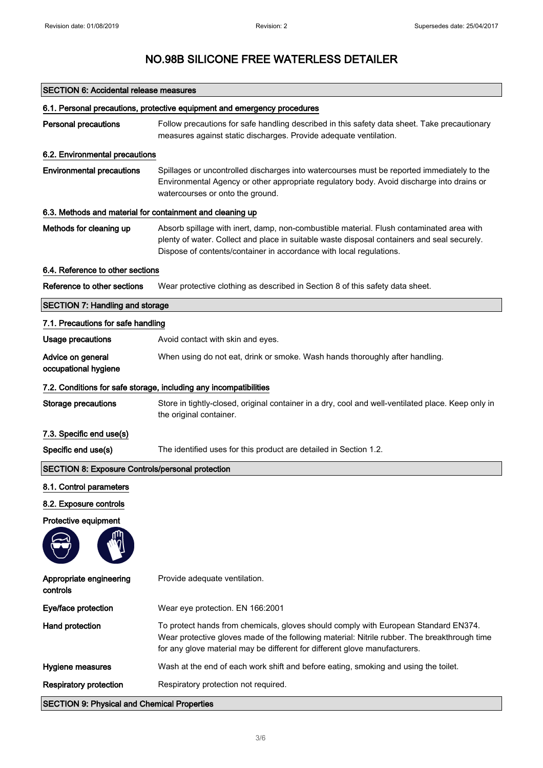| <b>SECTION 6: Accidental release measures</b>                            |                                                                                                                                                                                                                                                                   |  |
|--------------------------------------------------------------------------|-------------------------------------------------------------------------------------------------------------------------------------------------------------------------------------------------------------------------------------------------------------------|--|
| 6.1. Personal precautions, protective equipment and emergency procedures |                                                                                                                                                                                                                                                                   |  |
| <b>Personal precautions</b>                                              | Follow precautions for safe handling described in this safety data sheet. Take precautionary<br>measures against static discharges. Provide adequate ventilation.                                                                                                 |  |
| 6.2. Environmental precautions                                           |                                                                                                                                                                                                                                                                   |  |
| <b>Environmental precautions</b>                                         | Spillages or uncontrolled discharges into watercourses must be reported immediately to the<br>Environmental Agency or other appropriate regulatory body. Avoid discharge into drains or<br>watercourses or onto the ground.                                       |  |
| 6.3. Methods and material for containment and cleaning up                |                                                                                                                                                                                                                                                                   |  |
| Methods for cleaning up                                                  | Absorb spillage with inert, damp, non-combustible material. Flush contaminated area with<br>plenty of water. Collect and place in suitable waste disposal containers and seal securely.<br>Dispose of contents/container in accordance with local regulations.    |  |
| 6.4. Reference to other sections                                         |                                                                                                                                                                                                                                                                   |  |
| Reference to other sections                                              | Wear protective clothing as described in Section 8 of this safety data sheet.                                                                                                                                                                                     |  |
| <b>SECTION 7: Handling and storage</b>                                   |                                                                                                                                                                                                                                                                   |  |
| 7.1. Precautions for safe handling                                       |                                                                                                                                                                                                                                                                   |  |
| <b>Usage precautions</b>                                                 | Avoid contact with skin and eyes.                                                                                                                                                                                                                                 |  |
| Advice on general<br>occupational hygiene                                | When using do not eat, drink or smoke. Wash hands thoroughly after handling.                                                                                                                                                                                      |  |
|                                                                          | 7.2. Conditions for safe storage, including any incompatibilities                                                                                                                                                                                                 |  |
| <b>Storage precautions</b>                                               | Store in tightly-closed, original container in a dry, cool and well-ventilated place. Keep only in<br>the original container.                                                                                                                                     |  |
| 7.3. Specific end use(s)                                                 |                                                                                                                                                                                                                                                                   |  |
| Specific end use(s)                                                      | The identified uses for this product are detailed in Section 1.2.                                                                                                                                                                                                 |  |
| <b>SECTION 8: Exposure Controls/personal protection</b>                  |                                                                                                                                                                                                                                                                   |  |
| 8.1. Control parameters                                                  |                                                                                                                                                                                                                                                                   |  |
| 8.2. Exposure controls                                                   |                                                                                                                                                                                                                                                                   |  |
| Protective equipment                                                     |                                                                                                                                                                                                                                                                   |  |
| Appropriate engineering<br>controls                                      | Provide adequate ventilation.                                                                                                                                                                                                                                     |  |
| Eye/face protection                                                      | Wear eye protection. EN 166:2001                                                                                                                                                                                                                                  |  |
| Hand protection                                                          | To protect hands from chemicals, gloves should comply with European Standard EN374.<br>Wear protective gloves made of the following material: Nitrile rubber. The breakthrough time<br>for any glove material may be different for different glove manufacturers. |  |
| Hygiene measures                                                         | Wash at the end of each work shift and before eating, smoking and using the toilet.                                                                                                                                                                               |  |
| <b>Respiratory protection</b>                                            | Respiratory protection not required.                                                                                                                                                                                                                              |  |
| <b>SECTION 9: Physical and Chemical Properties</b>                       |                                                                                                                                                                                                                                                                   |  |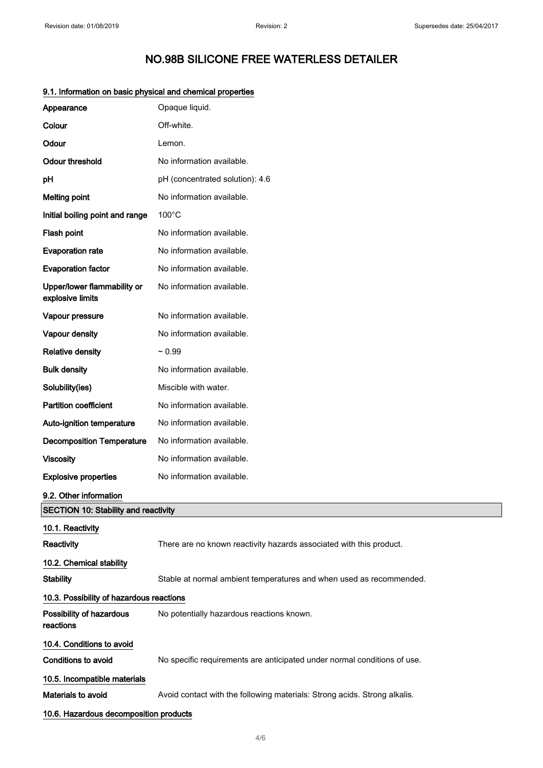|                                                 | momentum on bacic prijologi and chomical proportion                       |  |
|-------------------------------------------------|---------------------------------------------------------------------------|--|
| Appearance                                      | Opaque liquid.                                                            |  |
| Colour                                          | Off-white.                                                                |  |
| Odour                                           | Lemon.                                                                    |  |
| <b>Odour threshold</b>                          | No information available.                                                 |  |
| pH                                              | pH (concentrated solution): 4.6                                           |  |
| <b>Melting point</b>                            | No information available.                                                 |  |
| Initial boiling point and range                 | $100^{\circ}$ C                                                           |  |
| Flash point                                     | No information available.                                                 |  |
| <b>Evaporation rate</b>                         | No information available.                                                 |  |
| <b>Evaporation factor</b>                       | No information available.                                                 |  |
| Upper/lower flammability or<br>explosive limits | No information available.                                                 |  |
| Vapour pressure                                 | No information available.                                                 |  |
| Vapour density                                  | No information available.                                                 |  |
| <b>Relative density</b>                         | $~1$ 0.99                                                                 |  |
| <b>Bulk density</b>                             | No information available.                                                 |  |
| Solubility(ies)                                 | Miscible with water.                                                      |  |
| <b>Partition coefficient</b>                    | No information available.                                                 |  |
| Auto-ignition temperature                       | No information available.                                                 |  |
| <b>Decomposition Temperature</b>                | No information available.                                                 |  |
| <b>Viscosity</b>                                | No information available.                                                 |  |
| <b>Explosive properties</b>                     | No information available.                                                 |  |
| 9.2. Other information                          |                                                                           |  |
| <b>SECTION 10: Stability and reactivity</b>     |                                                                           |  |
| 10.1. Reactivity                                |                                                                           |  |
| Reactivity                                      | There are no known reactivity hazards associated with this product.       |  |
| 10.2. Chemical stability                        |                                                                           |  |
| <b>Stability</b>                                | Stable at normal ambient temperatures and when used as recommended.       |  |
| 10.3. Possibility of hazardous reactions        |                                                                           |  |
| Possibility of hazardous<br>reactions           | No potentially hazardous reactions known.                                 |  |
| 10.4. Conditions to avoid                       |                                                                           |  |
| <b>Conditions to avoid</b>                      | No specific requirements are anticipated under normal conditions of use.  |  |
| 10.5. Incompatible materials                    |                                                                           |  |
| Materials to avoid                              | Avoid contact with the following materials: Strong acids. Strong alkalis. |  |
| 10.6. Hazardous decomposition products          |                                                                           |  |

### 9.1. Information on basic physical and chemical properties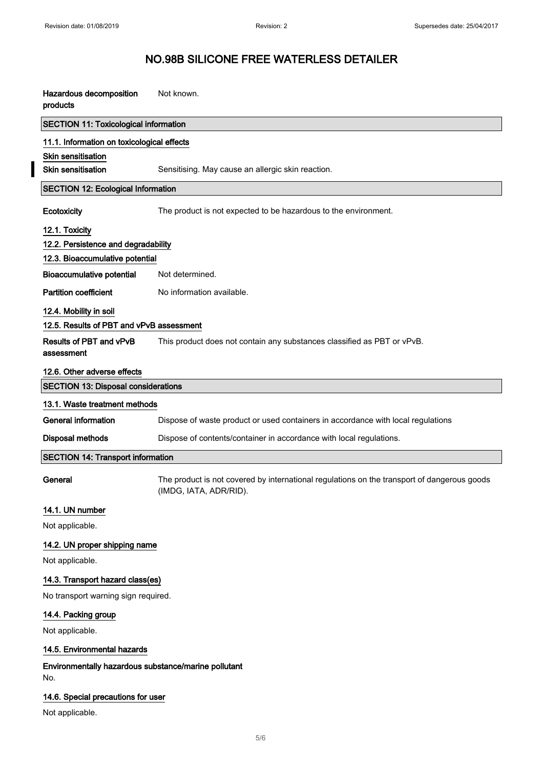## NO.98B SILICONE FREE WATERLESS DETAILER

| Hazardous decomposition<br>products                         | Not known.                                                                                                            |
|-------------------------------------------------------------|-----------------------------------------------------------------------------------------------------------------------|
| <b>SECTION 11: Toxicological information</b>                |                                                                                                                       |
| 11.1. Information on toxicological effects                  |                                                                                                                       |
| <b>Skin sensitisation</b>                                   |                                                                                                                       |
| <b>Skin sensitisation</b>                                   | Sensitising. May cause an allergic skin reaction.                                                                     |
| <b>SECTION 12: Ecological Information</b>                   |                                                                                                                       |
| Ecotoxicity                                                 | The product is not expected to be hazardous to the environment.                                                       |
| 12.1. Toxicity                                              |                                                                                                                       |
| 12.2. Persistence and degradability                         |                                                                                                                       |
| 12.3. Bioaccumulative potential                             |                                                                                                                       |
| <b>Bioaccumulative potential</b>                            | Not determined.                                                                                                       |
| <b>Partition coefficient</b>                                | No information available.                                                                                             |
| 12.4. Mobility in soil                                      |                                                                                                                       |
| 12.5. Results of PBT and vPvB assessment                    |                                                                                                                       |
| Results of PBT and vPvB<br>assessment                       | This product does not contain any substances classified as PBT or vPvB.                                               |
| 12.6. Other adverse effects                                 |                                                                                                                       |
| <b>SECTION 13: Disposal considerations</b>                  |                                                                                                                       |
| 13.1. Waste treatment methods                               |                                                                                                                       |
| General information                                         | Dispose of waste product or used containers in accordance with local regulations                                      |
| <b>Disposal methods</b>                                     | Dispose of contents/container in accordance with local regulations.                                                   |
| <b>SECTION 14: Transport information</b>                    |                                                                                                                       |
| General                                                     | The product is not covered by international regulations on the transport of dangerous goods<br>(IMDG, IATA, ADR/RID). |
| 14.1. UN number                                             |                                                                                                                       |
| Not applicable.                                             |                                                                                                                       |
| 14.2. UN proper shipping name                               |                                                                                                                       |
| Not applicable.                                             |                                                                                                                       |
| 14.3. Transport hazard class(es)                            |                                                                                                                       |
| No transport warning sign required.                         |                                                                                                                       |
| 14.4. Packing group                                         |                                                                                                                       |
| Not applicable.                                             |                                                                                                                       |
| 14.5. Environmental hazards                                 |                                                                                                                       |
| Environmentally hazardous substance/marine pollutant<br>No. |                                                                                                                       |
| 14.6. Special precautions for user<br>Not applicable.       |                                                                                                                       |